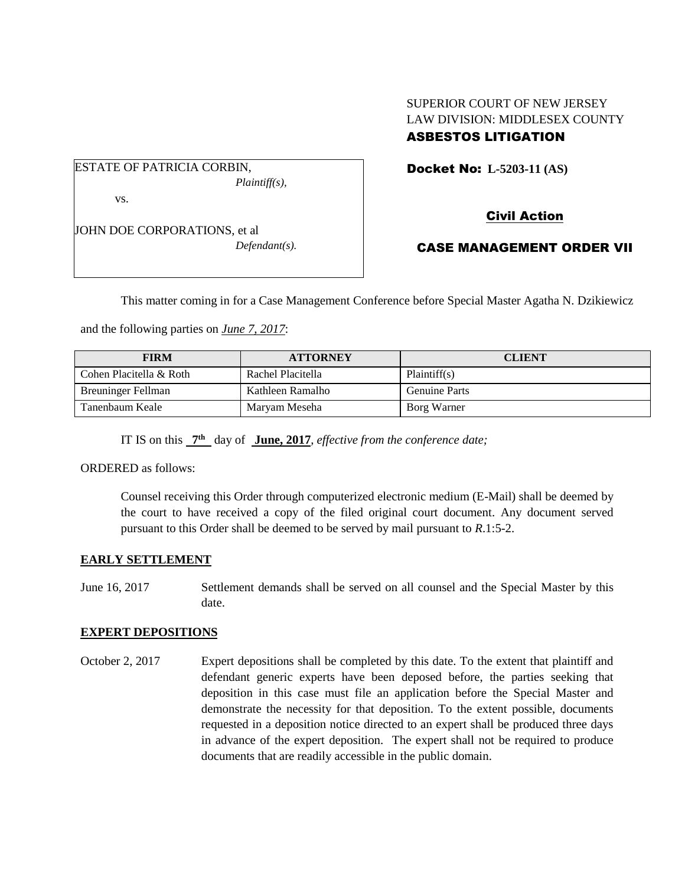# SUPERIOR COURT OF NEW JERSEY LAW DIVISION: MIDDLESEX COUNTY

## ASBESTOS LITIGATION

ESTATE OF PATRICIA CORBIN, *Plaintiff(s),* vs.

JOHN DOE CORPORATIONS, et al *Defendant(s).* Docket No: **L-5203-11 (AS)** 

Civil Action

CASE MANAGEMENT ORDER VII

This matter coming in for a Case Management Conference before Special Master Agatha N. Dzikiewicz

and the following parties on *June 7, 2017*:

| <b>FIRM</b>             | <b>ATTORNEY</b>   | <b>CLIENT</b>        |
|-------------------------|-------------------|----------------------|
| Cohen Placitella & Roth | Rachel Placitella | Plaintiff(s)         |
| Breuninger Fellman      | Kathleen Ramalho  | <b>Genuine Parts</b> |
| Tanenbaum Keale         | Maryam Meseha     | Borg Warner          |

IT IS on this  $7<sup>th</sup>$  day of June, 2017, *effective from the conference date*;

ORDERED as follows:

Counsel receiving this Order through computerized electronic medium (E-Mail) shall be deemed by the court to have received a copy of the filed original court document. Any document served pursuant to this Order shall be deemed to be served by mail pursuant to *R*.1:5-2.

#### **EARLY SETTLEMENT**

June 16, 2017 Settlement demands shall be served on all counsel and the Special Master by this date.

### **EXPERT DEPOSITIONS**

October 2, 2017 Expert depositions shall be completed by this date. To the extent that plaintiff and defendant generic experts have been deposed before, the parties seeking that deposition in this case must file an application before the Special Master and demonstrate the necessity for that deposition. To the extent possible, documents requested in a deposition notice directed to an expert shall be produced three days in advance of the expert deposition. The expert shall not be required to produce documents that are readily accessible in the public domain.